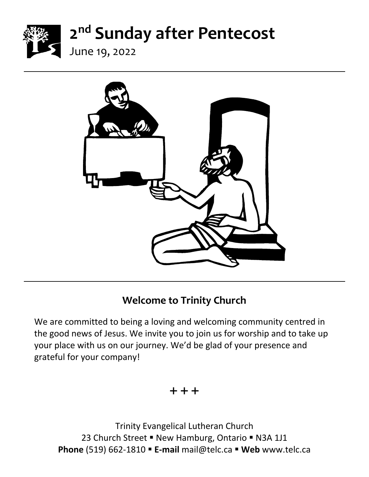

June 19, 2022



## **Welcome to Trinity Church**

We are committed to being a loving and welcoming community centred in the good news of Jesus. We invite you to join us for worship and to take up your place with us on our journey. We'd be glad of your presence and grateful for your company!

#### $+ + +$

Trinity Evangelical Lutheran Church 23 Church Street ■ New Hamburg, Ontario ■ N3A 1J1 **Phone** (519) 662-1810 ▪ **E-mail** mail@telc.ca ▪ **Web** www.telc.ca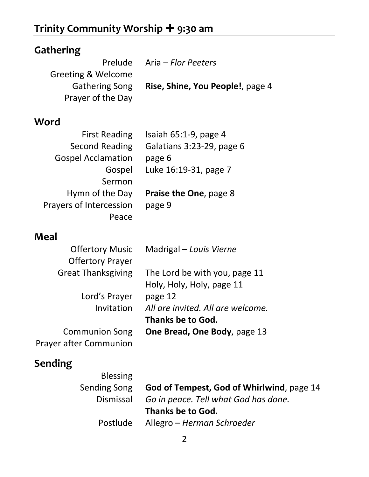# **Trinity Community Worship + 9:30 am**

| Gathering                     |                                           |
|-------------------------------|-------------------------------------------|
|                               | Prelude Aria - Flor Peeters               |
| <b>Greeting &amp; Welcome</b> |                                           |
| <b>Gathering Song</b>         | Rise, Shine, You People!, page 4          |
| Prayer of the Day             |                                           |
| Word                          |                                           |
| <b>First Reading</b>          | Isaiah $65:1-9$ , page 4                  |
| Second Reading                | Galatians 3:23-29, page 6                 |
| <b>Gospel Acclamation</b>     | page 6                                    |
| Gospel                        | Luke 16:19-31, page 7                     |
| Sermon                        |                                           |
| Hymn of the Day               | <b>Praise the One, page 8</b>             |
| Prayers of Intercession       | page 9                                    |
| Peace                         |                                           |
| Meal                          |                                           |
| <b>Offertory Music</b>        | Madrigal – Louis Vierne                   |
| <b>Offertory Prayer</b>       |                                           |
| <b>Great Thanksgiving</b>     | The Lord be with you, page 11             |
|                               | Holy, Holy, Holy, page 11                 |
| Lord's Prayer                 | page 12                                   |
| Invitation                    | All are invited. All are welcome.         |
|                               | <b>Thanks be to God.</b>                  |
| <b>Communion Song</b>         | One Bread, One Body, page 13              |
| <b>Prayer after Communion</b> |                                           |
| Sending                       |                                           |
| <b>Blessing</b>               |                                           |
| <b>Sending Song</b>           | God of Tempest, God of Whirlwind, page 14 |
| Dismissal                     | Go in peace. Tell what God has done.      |

**Thanks be to God.**

Postlude Allegro – *Herman Schroeder*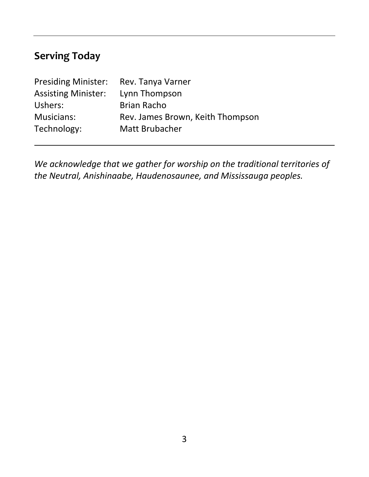# **Serving Today**

| Rev. Tanya Varner                |
|----------------------------------|
| Lynn Thompson                    |
| <b>Brian Racho</b>               |
| Rev. James Brown, Keith Thompson |
| Matt Brubacher                   |
|                                  |

*We acknowledge that we gather for worship on the traditional territories of the Neutral, Anishinaabe, Haudenosaunee, and Mississauga peoples.*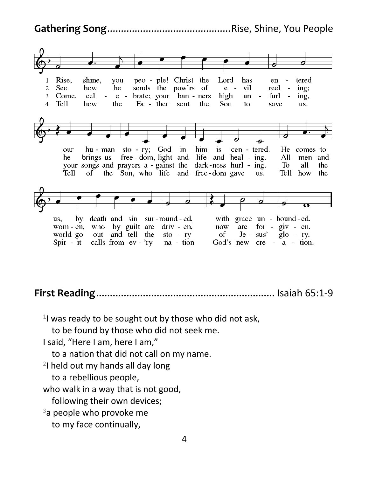**Gathering Song**.............................................Rise, Shine, You People



**First Reading**................................................................. Isaiah 65:1-9

<sup>1</sup>l was ready to be sought out by those who did not ask,

to be found by those who did not seek me.

I said, "Here I am, here I am,"

to a nation that did not call on my name.

2 I held out my hands all day long

to a rebellious people,

who walk in a way that is not good,

following their own devices;

 $3a$  people who provoke me

to my face continually,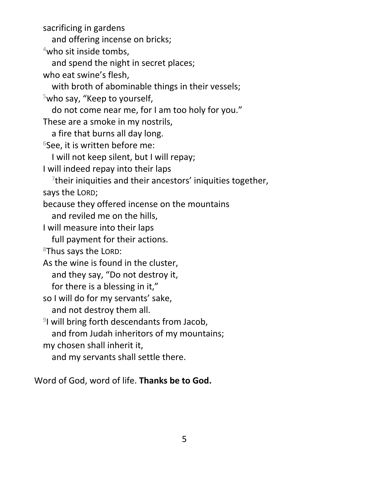sacrificing in gardens

and offering incense on bricks;

<sup>4</sup>who sit inside tombs,

and spend the night in secret places;

who eat swine's flesh,

with broth of abominable things in their vessels;

<sup>5</sup>who say, "Keep to yourself,

do not come near me, for I am too holy for you."

These are a smoke in my nostrils,

a fire that burns all day long.

 $6$ See, it is written before me:

I will not keep silent, but I will repay;

I will indeed repay into their laps

 $7$ their iniquities and their ancestors' iniquities together, says the LORD;

because they offered incense on the mountains

and reviled me on the hills,

I will measure into their laps

full payment for their actions.

<sup>8</sup>Thus says the LORD:

As the wine is found in the cluster,

and they say, "Do not destroy it,

for there is a blessing in it,"

so I will do for my servants' sake,

and not destroy them all.

<sup>9</sup>I will bring forth descendants from Jacob,

and from Judah inheritors of my mountains;

my chosen shall inherit it,

and my servants shall settle there.

Word of God, word of life. **Thanks be to God.**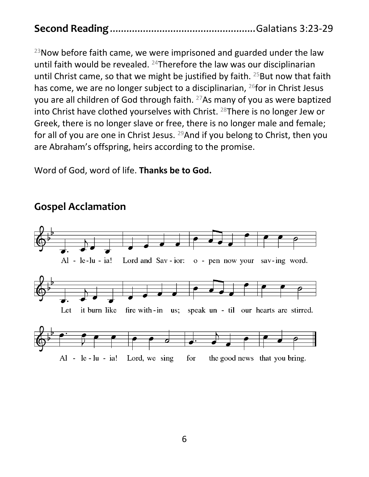$23$ Now before faith came, we were imprisoned and guarded under the law until faith would be revealed. <sup>24</sup>Therefore the law was our disciplinarian until Christ came, so that we might be justified by faith.  $25$  But now that faith has come, we are no longer subject to a disciplinarian, <sup>26</sup>for in Christ Jesus you are all children of God through faith. <sup>27</sup>As many of you as were baptized into Christ have clothed yourselves with Christ. <sup>28</sup>There is no longer Jew or Greek, there is no longer slave or free, there is no longer male and female; for all of you are one in Christ Jesus. <sup>29</sup>And if you belong to Christ, then you are Abraham's offspring, heirs according to the promise.

Word of God, word of life. **Thanks be to God.**



#### **Gospel Acclamation**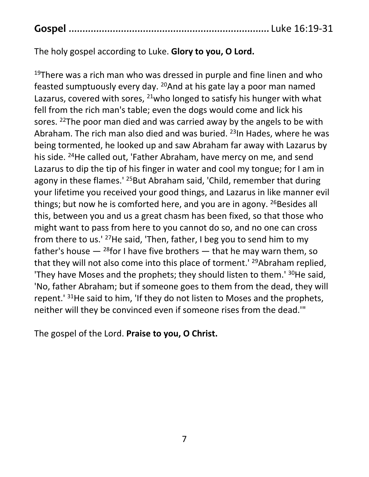|--|--|--|--|

The holy gospel according to Luke. **Glory to you, O Lord.**

 $19$ There was a rich man who was dressed in purple and fine linen and who feasted sumptuously every day. <sup>20</sup>And at his gate lay a poor man named Lazarus, covered with sores,  $21$  who longed to satisfy his hunger with what fell from the rich man's table; even the dogs would come and lick his sores. <sup>22</sup>The poor man died and was carried away by the angels to be with Abraham. The rich man also died and was buried. <sup>23</sup>In Hades, where he was being tormented, he looked up and saw Abraham far away with Lazarus by his side. <sup>24</sup>He called out, 'Father Abraham, have mercy on me, and send Lazarus to dip the tip of his finger in water and cool my tongue; for I am in agony in these flames.<sup>' 25</sup>But Abraham said, 'Child, remember that during your lifetime you received your good things, and Lazarus in like manner evil things; but now he is comforted here, and you are in agony.  $^{26}$ Besides all this, between you and us a great chasm has been fixed, so that those who might want to pass from here to you cannot do so, and no one can cross from there to us.' <sup>27</sup>He said, 'Then, father, I beg you to send him to my father's house  $-$  <sup>28</sup>for I have five brothers  $-$  that he may warn them, so that they will not also come into this place of torment.' <sup>29</sup>Abraham replied, 'They have Moses and the prophets; they should listen to them.' <sup>30</sup>He said, 'No, father Abraham; but if someone goes to them from the dead, they will repent.<sup>'31</sup>He said to him, 'If they do not listen to Moses and the prophets, neither will they be convinced even if someone rises from the dead.'"

The gospel of the Lord. **Praise to you, O Christ.**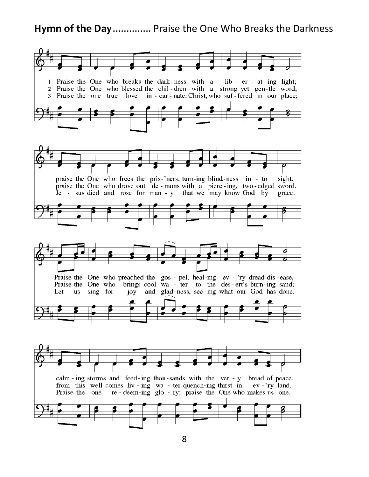#### **Hymn of the Day**.............. Praise the One Who Breaks the Darkness

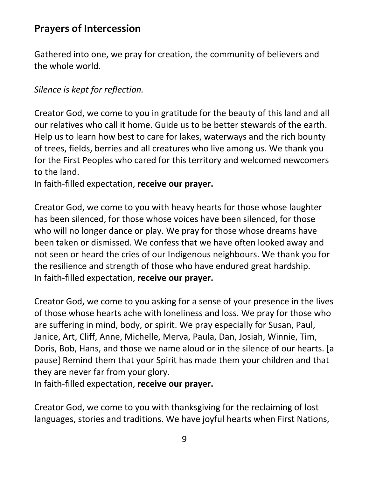### **Prayers of Intercession**

Gathered into one, we pray for creation, the community of believers and the whole world.

#### *Silence is kept for reflection.*

Creator God, we come to you in gratitude for the beauty of this land and all our relatives who call it home. Guide us to be better stewards of the earth. Help us to learn how best to care for lakes, waterways and the rich bounty of trees, fields, berries and all creatures who live among us. We thank you for the First Peoples who cared for this territory and welcomed newcomers to the land.

In faith-filled expectation, **receive our prayer.**

Creator God, we come to you with heavy hearts for those whose laughter has been silenced, for those whose voices have been silenced, for those who will no longer dance or play. We pray for those whose dreams have been taken or dismissed. We confess that we have often looked away and not seen or heard the cries of our Indigenous neighbours. We thank you for the resilience and strength of those who have endured great hardship. In faith-filled expectation, **receive our prayer.**

Creator God, we come to you asking for a sense of your presence in the lives of those whose hearts ache with loneliness and loss. We pray for those who are suffering in mind, body, or spirit. We pray especially for Susan, Paul, Janice, Art, Cliff, Anne, Michelle, Merva, Paula, Dan, Josiah, Winnie, Tim, Doris, Bob, Hans, and those we name aloud or in the silence of our hearts. [a pause] Remind them that your Spirit has made them your children and that they are never far from your glory.

In faith-filled expectation, **receive our prayer.**

Creator God, we come to you with thanksgiving for the reclaiming of lost languages, stories and traditions. We have joyful hearts when First Nations,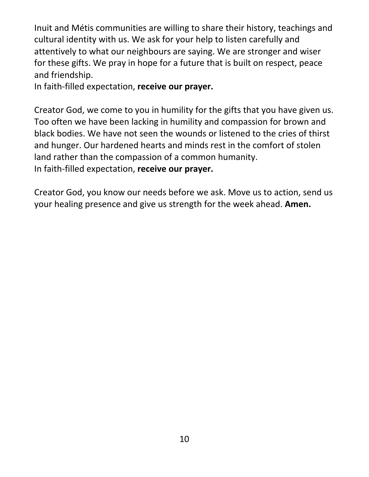Inuit and Métis communities are willing to share their history, teachings and cultural identity with us. We ask for your help to listen carefully and attentively to what our neighbours are saying. We are stronger and wiser for these gifts. We pray in hope for a future that is built on respect, peace and friendship.

In faith-filled expectation, **receive our prayer.**

Creator God, we come to you in humility for the gifts that you have given us. Too often we have been lacking in humility and compassion for brown and black bodies. We have not seen the wounds or listened to the cries of thirst and hunger. Our hardened hearts and minds rest in the comfort of stolen land rather than the compassion of a common humanity. In faith-filled expectation, **receive our prayer.**

Creator God, you know our needs before we ask. Move us to action, send us your healing presence and give us strength for the week ahead. **Amen.**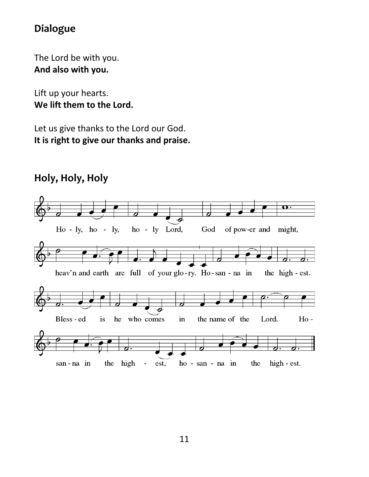### **Dialogue**

The Lord be with you. **And also with you.**

Lift up your hearts. **We lift them to the Lord.**

Let us give thanks to the Lord our God. **It is right to give our thanks and praise.**

## **Holy, Holy, Holy**

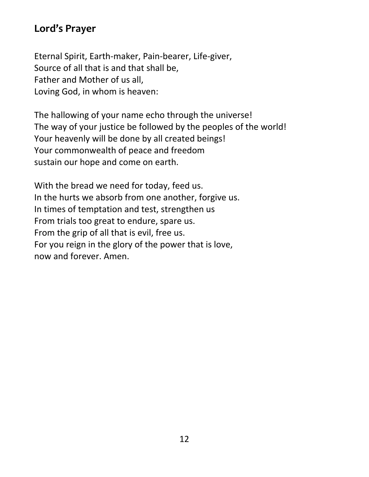### **Lord's Prayer**

Eternal Spirit, Earth-maker, Pain-bearer, Life-giver, Source of all that is and that shall be, Father and Mother of us all, Loving God, in whom is heaven:

The hallowing of your name echo through the universe! The way of your justice be followed by the peoples of the world! Your heavenly will be done by all created beings! Your commonwealth of peace and freedom sustain our hope and come on earth.

With the bread we need for today, feed us. In the hurts we absorb from one another, forgive us. In times of temptation and test, strengthen us From trials too great to endure, spare us. From the grip of all that is evil, free us. For you reign in the glory of the power that is love, now and forever. Amen.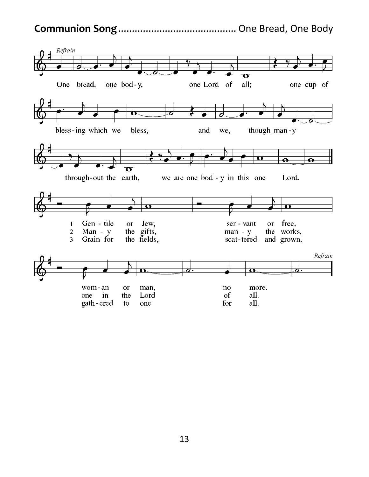#### **Communion Song**........................................... One Bread, One Body

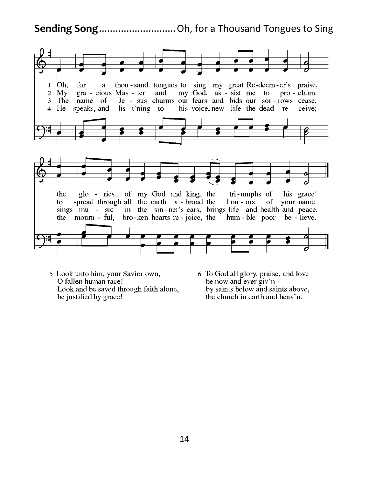**Sending Song**............................Oh, for a Thousand Tongues to Sing



- 5 Look unto him, your Savior own, O fallen human race! Look and be saved through faith alone, be justified by grace!
- 6 To God all glory, praise, and love be now and ever giv'n by saints below and saints above, the church in earth and heav'n.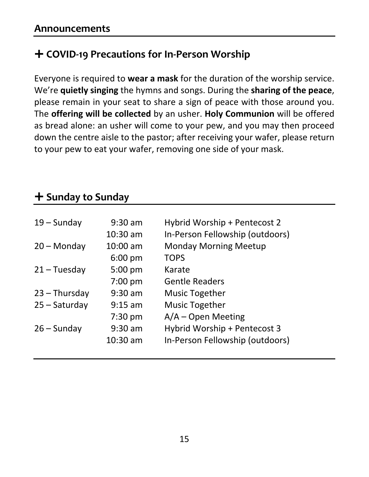## **COVID-19 Precautions for In-Person Worship**

Everyone is required to **wear a mask** for the duration of the worship service. We're **quietly singing** the hymns and songs. During the **sharing of the peace**, please remain in your seat to share a sign of peace with those around you. The **offering will be collected** by an usher. **Holy Communion** will be offered as bread alone: an usher will come to your pew, and you may then proceed down the centre aisle to the pastor; after receiving your wafer, please return to your pew to eat your wafer, removing one side of your mask.

## **Sunday to Sunday**

| $19 -$ Sunday   | $9:30$ am         | Hybrid Worship + Pentecost 2    |
|-----------------|-------------------|---------------------------------|
|                 | $10:30$ am        | In-Person Fellowship (outdoors) |
| $20 -$ Monday   | $10:00$ am        | <b>Monday Morning Meetup</b>    |
|                 | $6:00 \text{ pm}$ | <b>TOPS</b>                     |
| $21 - Tuesday$  | $5:00$ pm         | Karate                          |
|                 | 7:00 pm           | <b>Gentle Readers</b>           |
| $23 - Thursday$ | $9:30$ am         | <b>Music Together</b>           |
| $25 -$ Saturday | $9:15$ am         | <b>Music Together</b>           |
|                 | $7:30$ pm         | $A/A -$ Open Meeting            |
| $26 -$ Sunday   | $9:30$ am         | Hybrid Worship + Pentecost 3    |
|                 | $10:30$ am        | In-Person Fellowship (outdoors) |
|                 |                   |                                 |